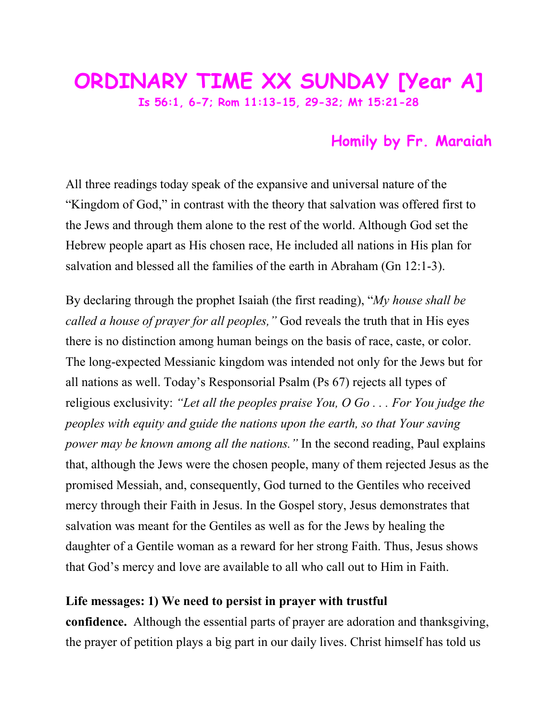## **ORDINARY TIME XX SUNDAY [Year A] Is 56:1, 6-7; Rom 11:13-15, 29-32; Mt 15:21-28**

## **Homily by Fr. Maraiah**

All three readings today speak of the expansive and universal nature of the "Kingdom of God," in contrast with the theory that salvation was offered first to the Jews and through them alone to the rest of the world. Although God set the Hebrew people apart as His chosen race, He included all nations in His plan for salvation and blessed all the families of the earth in Abraham (Gn 12:1-3).

By declaring through the prophet Isaiah (the first reading), "*My house shall be called a house of prayer for all peoples,"* God reveals the truth that in His eyes there is no distinction among human beings on the basis of race, caste, or color. The long-expected Messianic kingdom was intended not only for the Jews but for all nations as well. Today's Responsorial Psalm (Ps 67) rejects all types of religious exclusivity: *"Let all the peoples praise You, O Go . . . For You judge the peoples with equity and guide the nations upon the earth, so that Your saving power may be known among all the nations.*" In the second reading, Paul explains that, although the Jews were the chosen people, many of them rejected Jesus as the promised Messiah, and, consequently, God turned to the Gentiles who received mercy through their Faith in Jesus. In the Gospel story, Jesus demonstrates that salvation was meant for the Gentiles as well as for the Jews by healing the daughter of a Gentile woman as a reward for her strong Faith. Thus, Jesus shows that God's mercy and love are available to all who call out to Him in Faith.

## **Life messages: 1) We need to persist in prayer with trustful**

**confidence.** Although the essential parts of prayer are adoration and thanksgiving, the prayer of petition plays a big part in our daily lives. Christ himself has told us